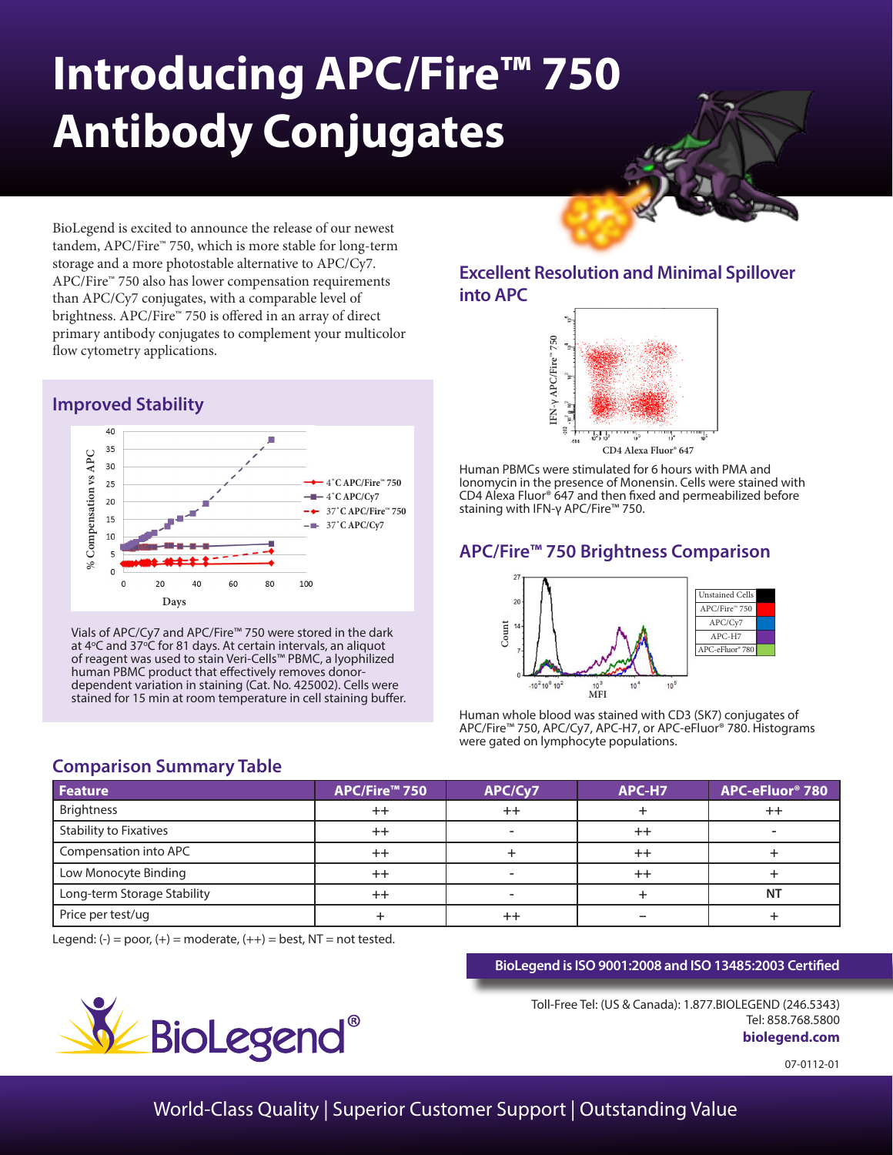# **Introducing APC/Fire™ 750 Antibody Conjugates**

BioLegend is excited to announce the release of our newest tandem, APC/Fire™ 750, which is more stable for long-term storage and a more photostable alternative to APC/Cy7. APC/Fire™ 750 also has lower compensation requirements than APC/Cy7 conjugates, with a comparable level of brightness. APC/Fire™ 750 is offered in an array of direct primary antibody conjugates to complement your multicolor flow cytometry applications.

## **Improved Stability**



Vials of APC/Cy7 and APC/Fire™ 750 were stored in the dark at 4°C and 37°C for 81 days. At certain intervals, an aliquot of reagent was used to stain Veri-Cells™ PBMC, a lyophilized human PBMC product that effectively removes donordependent variation in staining (Cat. No. 425002). Cells were stained for 15 min at room temperature in cell staining buffer.

## **Excellent Resolution and Minimal Spillover into APC**



Human PBMCs were stimulated for 6 hours with PMA and Ionomycin in the presence of Monensin. Cells were stained with CD4 Alexa Fluor® 647 and then fixed and permeabilized before staining with IFN-γ APC/Fire™ 750.

# **APC/Fire™ 750 Brightness Comparison**



Human whole blood was stained with CD3 (SK7) conjugates of APC/Fire™ 750, APC/Cy7, APC-H7, or APC-eFluor® 780. Histograms were gated on lymphocyte populations.

| <b>Feature</b>                | APC/Fire™ 750 | APC/Cy7 | APC-H7          | APC-eFluor <sup>®</sup> 780 |
|-------------------------------|---------------|---------|-----------------|-----------------------------|
| <b>Brightness</b>             | $++$          |         |                 | $^{++}$                     |
| <b>Stability to Fixatives</b> | $++$          |         | $^{\mathrm{+}}$ |                             |
| Compensation into APC         | $^{++}$       |         | $^{++}$         |                             |
| Low Monocyte Binding          | $^{\rm ++}$   |         | $^{++}$         |                             |
| Long-term Storage Stability   | $++$          |         |                 | <b>NT</b>                   |
| Price per test/ug             |               |         |                 |                             |

Legend:  $(-) = poor$ ,  $(+) = moderate$ ,  $(++) = best$ ,  $NT = not tested$ .

**Comparison Summary Table**

### **BioLegend is ISO 9001:2008 and ISO 13485:2003 Certified**

Toll-Free Tel: (US & Canada): 1.877.BIOLEGEND (246.5343) Tel: 858.768.5800 **biolegend.com**

07-0112-01



World-Class Quality | Superior Customer Support | Outstanding Value